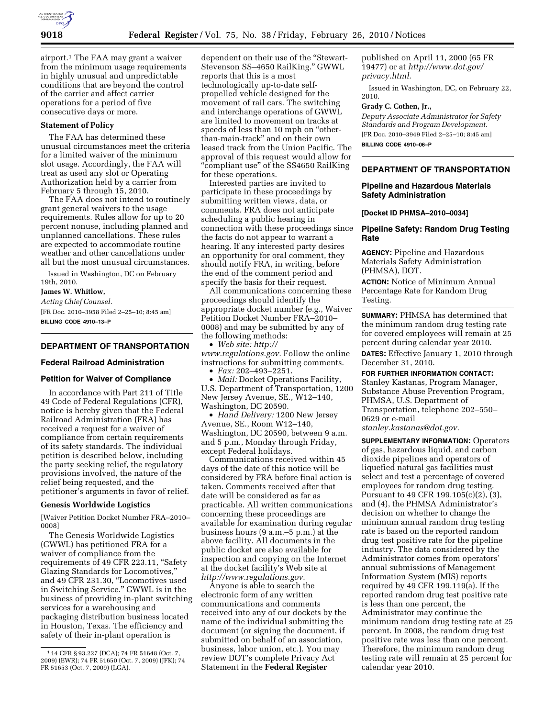

airport.1 The FAA may grant a waiver from the minimum usage requirements in highly unusual and unpredictable conditions that are beyond the control of the carrier and affect carrier operations for a period of five consecutive days or more.

## **Statement of Policy**

The FAA has determined these unusual circumstances meet the criteria for a limited waiver of the minimum slot usage. Accordingly, the FAA will treat as used any slot or Operating Authorization held by a carrier from February 5 through 15, 2010.

The FAA does not intend to routinely grant general waivers to the usage requirements. Rules allow for up to 20 percent nonuse, including planned and unplanned cancellations. These rules are expected to accommodate routine weather and other cancellations under all but the most unusual circumstances.

Issued in Washington, DC on February 19th, 2010.

# **James W. Whitlow,**

*Acting Chief Counsel.* 

[FR Doc. 2010–3958 Filed 2–25–10; 8:45 am] **BILLING CODE 4910–13–P** 

### **DEPARTMENT OF TRANSPORTATION**

## **Federal Railroad Administration**

## **Petition for Waiver of Compliance**

In accordance with Part 211 of Title 49 Code of Federal Regulations (CFR), notice is hereby given that the Federal Railroad Administration (FRA) has received a request for a waiver of compliance from certain requirements of its safety standards. The individual petition is described below, including the party seeking relief, the regulatory provisions involved, the nature of the relief being requested, and the petitioner's arguments in favor of relief.

#### **Genesis Worldwide Logistics**

[Waiver Petition Docket Number FRA–2010– 0008]

The Genesis Worldwide Logistics (GWWL) has petitioned FRA for a waiver of compliance from the requirements of 49 CFR 223.11, ''Safety Glazing Standards for Locomotives,'' and 49 CFR 231.30, ''Locomotives used in Switching Service.'' GWWL is in the business of providing in-plant switching services for a warehousing and packaging distribution business located in Houston, Texas. The efficiency and safety of their in-plant operation is

dependent on their use of the ''Stewart-Stevenson SS–4650 RailKing.'' GWWL reports that this is a most technologically up-to-date selfpropelled vehicle designed for the movement of rail cars. The switching and interchange operations of GWWL are limited to movement on tracks at speeds of less than 10 mph on "otherthan-main-track'' and on their own leased track from the Union Pacific. The approval of this request would allow for ''compliant use'' of the SS4650 RailKing for these operations.

Interested parties are invited to participate in these proceedings by submitting written views, data, or comments. FRA does not anticipate scheduling a public hearing in connection with these proceedings since the facts do not appear to warrant a hearing. If any interested party desires an opportunity for oral comment, they should notify FRA, in writing, before the end of the comment period and specify the basis for their request.

All communications concerning these proceedings should identify the appropriate docket number (e.g., Waiver Petition Docket Number FRA–2010– 0008) and may be submitted by any of the following methods:

• *Web site: http:// www.regulations.gov.* Follow the online instructions for submitting comments.

• *Fax:* 202–493–2251.

• *Mail:* Docket Operations Facility, U.S. Department of Transportation, 1200 New Jersey Avenue, SE., W12–140, Washington, DC 20590.

• *Hand Delivery:* 1200 New Jersey Avenue, SE., Room W12–140, Washington, DC 20590, between 9 a.m. and 5 p.m., Monday through Friday, except Federal holidays.

Communications received within 45 days of the date of this notice will be considered by FRA before final action is taken. Comments received after that date will be considered as far as practicable. All written communications concerning these proceedings are available for examination during regular business hours (9 a.m.–5 p.m.) at the above facility. All documents in the public docket are also available for inspection and copying on the Internet at the docket facility's Web site at *http://www.regulations.gov.* 

Anyone is able to search the electronic form of any written communications and comments received into any of our dockets by the name of the individual submitting the document (or signing the document, if submitted on behalf of an association, business, labor union, etc.). You may review DOT's complete Privacy Act Statement in the **Federal Register** 

published on April 11, 2000 (65 FR 19477) or at *http://www.dot.gov/ privacy.html.* 

Issued in Washington, DC, on February 22, 2010.

#### **Grady C. Cothen, Jr.,**

*Deputy Associate Administrator for Safety Standards and Program Development.*  [FR Doc. 2010–3949 Filed 2–25–10; 8:45 am]

**BILLING CODE 4910–06–P** 

# **DEPARTMENT OF TRANSPORTATION**

## **Pipeline and Hazardous Materials Safety Administration**

**[Docket ID PHMSA–2010–0034]** 

## **Pipeline Safety: Random Drug Testing Rate**

**AGENCY:** Pipeline and Hazardous Materials Safety Administration (PHMSA), DOT.

**ACTION:** Notice of Minimum Annual Percentage Rate for Random Drug Testing.

**SUMMARY:** PHMSA has determined that the minimum random drug testing rate for covered employees will remain at 25 percent during calendar year 2010.

**DATES:** Effective January 1, 2010 through December 31, 2010.

**FOR FURTHER INFORMATION CONTACT:** 

Stanley Kastanas, Program Manager, Substance Abuse Prevention Program, PHMSA, U.S. Department of Transportation, telephone 202–550– 0629 or e-mail *stanley.kastanas@dot.gov.* 

**SUPPLEMENTARY INFORMATION:** Operators of gas, hazardous liquid, and carbon dioxide pipelines and operators of liquefied natural gas facilities must select and test a percentage of covered employees for random drug testing. Pursuant to 49 CFR 199.105(c)(2), (3), and (4), the PHMSA Administrator's decision on whether to change the minimum annual random drug testing rate is based on the reported random drug test positive rate for the pipeline industry. The data considered by the Administrator comes from operators' annual submissions of Management Information System (MIS) reports required by 49 CFR 199.119(a). If the reported random drug test positive rate is less than one percent, the Administrator may continue the minimum random drug testing rate at 25 percent. In 2008, the random drug test positive rate was less than one percent. Therefore, the minimum random drug testing rate will remain at 25 percent for calendar year 2010.

<sup>1</sup> 14 CFR § 93.227 (DCA); 74 FR 51648 (Oct. 7, 2009) (EWR); 74 FR 51650 (Oct. 7, 2009) (JFK); 74 FR 51653 (Oct. 7, 2009) (LGA).